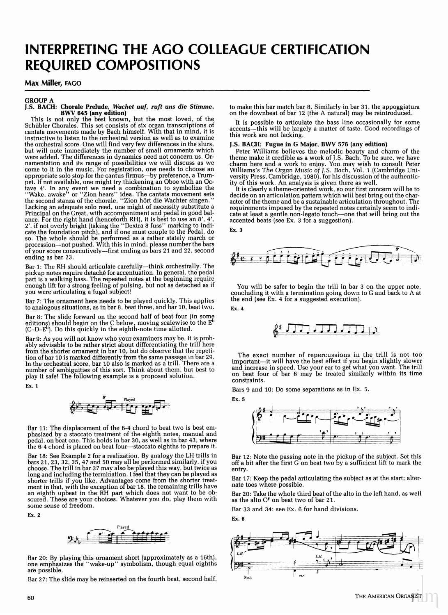# INTERPRETING THE AGO COLLEAGUE CERTIFICATION **REQUIRED COMPOSITIONS**

## Max Miller, FAGO

#### **GROUP A** J.S. BACH: Chorale Prelude, Wachet auf, ruft uns die Stimme, **BWV 645 (any edition)**

This is not only the best known, but the most loved, of the Schübler Chorales. This set consists of six organ transcriptions of cantata movements made by Bach himself. With that in mind, it is instructive to listen to the orchestral version as well as to examine the orchestral score. One will find very few differences in the slurs,<br>but will note immediately the number of small ornaments which were added. The differences in dynamics need not concern us. Ornamentation and its range of possibilities we will discuss as we come to it in the music. For registration, one needs to choose an appropriate solo stop for the cantus firmus-by preference, a Trumpet. If not available, one might try thickening an Oboe with an Ocfave 4'. In any event we need a combination to symbolize the "Wake, awake" or "Zion hears" idea. The cantata movement sets the second stanza of the chorale, "Zion hört die Wachter singen." Lacking an adequate solo reed, one might of necessity substitute a Principal on the Great, with accompaniment and pedal in good balance. For the right hand (henceforth RH), it is best to use an 8', 4', 2', if not overly bright (taking the "Dextra 8 fuss" marking to indicate the foundation pitch), and if one must couple to the Pedal, do so. The whole should be performed as a rather stately march or<br>procession—not pushed. With this in mind, please number the bars of your score consecutively-first ending as bars 21 and 22, second ending as bar 23.

Bar 1: The RH should articulate carefully-think orchestrally. The pickup notes require detaché for accentuation. In general, the pedal part is a walking bass. The repeated notes at the beginning require enough lift for a strong feeling of pulsing, but not as detached as if you were articulating a fugal subject!

Bar 7: The ornament here needs to be played quickly. This applies to analogous situations, as in bar 8, beat three, and bar 10, beat two.

Bar 8: The slide forward on the second half of beat four (in some editions) should begin on the C below, moving scalewise to the  $E^b$  (C–D– $E^b$ ). Do this quickly in the eighth-note time allotted.

Bar 9: As you will not know who your examiners may be, it is probably advisable to be rather strict about differentiating the trill here from the shorter ornament in bar 10, but do observe that the repetition of bar 10 is marked differently from the same passage in bar 29. In the orchestral score, but 10 also is marked as a trill. There are a<br>number of ambiguities of this sort. Think about them, but best to<br>play it safe! The following example is a proposed solution.

Ex. 1

$$
\bigotimes_{i=1}^{p} \frac{p_i}{p_i} = \bigotimes_{i=1}^{p} \frac{p_i}{p_i} = \bigotimes_{i=1}^{p} \frac{p_i}{p_i} = \bigotimes_{i=1}^{p} \frac{p_i}{p_i} = \bigotimes_{i=1}^{p} \frac{p_i}{p_i} = \bigotimes_{i=1}^{p} \frac{p_i}{p_i} = \bigotimes_{i=1}^{p} \frac{p_i}{p_i} = \bigotimes_{i=1}^{p} \frac{p_i}{p_i} = \bigotimes_{i=1}^{p} \frac{p_i}{p_i} = \bigotimes_{i=1}^{p} \frac{p_i}{p_i} = \bigotimes_{i=1}^{p} \frac{p_i}{p_i} = \bigotimes_{i=1}^{p} \frac{p_i}{p_i} = \bigotimes_{i=1}^{p} \frac{p_i}{p_i} = \bigotimes_{i=1}^{p} \frac{p_i}{p_i} = \bigotimes_{i=1}^{p} \frac{p_i}{p_i} = \bigotimes_{i=1}^{p} \frac{p_i}{p_i} = \bigotimes_{i=1}^{p} \frac{p_i}{p_i} = \bigotimes_{i=1}^{p} \frac{p_i}{p_i} = \bigotimes_{i=1}^{p} \frac{p_i}{p_i} = \bigotimes_{i=1}^{p} \frac{p_i}{p_i} = \bigotimes_{i=1}^{p} \frac{p_i}{p_i} = \bigotimes_{i=1}^{p} \frac{p_i}{p_i} = \bigotimes_{i=1}^{p} \frac{p_i}{p_i} = \bigotimes_{i=1}^{p} \frac{p_i}{p_i} = \bigotimes_{i=1}^{p} \frac{p_i}{p_i} = \bigotimes_{i=1}^{p} \frac{p_i}{p_i} = \bigotimes_{i=1}^{p} \frac{p_i}{p_i} = \bigotimes_{i=1}^{p} \frac{p_i}{p_i} = \bigotimes_{i=1}^{p} \frac{p_i}{p_i} = \bigotimes_{i=1}^{p} \frac{p_i}{p_i} = \bigotimes_{i=1}^{p} \frac{p_i}{p_i} = \bigotimes_{i=1}^{p} \frac{p_i}{p_i} = \bigotimes_{i=1}^{p} \frac{p_i}{p_i} = \bigotimes_{i=1}^{p} \frac{p_i}{p_i} = \bigotimes_{i=1}^{p}
$$

Bar 11: The displacement of the 6-4 chord to beat two is best emphasized by a staccato treatment of the eighth notes, manual and pedal, on beat one. This holds in bar 30, as well as in bar 43, where the 6-4 chord is placed on beat four—staccato eighths to prepare it.

Bar 18: See Example 2 for a realization. By analogy the LH trills in bars 21, 23, 32, 35, 47 and 50 may all be performed similarly, if you choose. The trill in bar 37 may also be played this way, but twice as long and including the termination. I feel that they can be played as long and including the termination. I leed that they can be played as<br>shorter trills if you like. Advantages come from the shorter treat-<br>ment in that, with the exception of bar 18, the remaining trills have<br>an eighth upbe some sense of freedom.

Ex. 2



Bar 20: By playing this ornament short (approximately as a 16th), one emphasizes the "wake-up" symbolism, though equal eighths are possible.

Bar 27: The slide may be reinserted on the fourth beat, second half,

to make this bar match bar 8. Similarly in bar 31, the appoggiatura on the downbeat of bar 12 (the A natural) may be reintroduced.

It is possible to articulate the bass line occasionally for some accents-this will be largely a matter of taste. Good recordings of this work are not lacking

## J.S. BACH: Fugue in G Major, BWV 576 (any edition)

Peter Williams believes the melodic beauty and charm of the theme make it credible as a work of J.S. Bach. To be sure, we have then make it cleanure as a work of  $J$ .5. Bach. You may wish to consult Peter Williams's The Organ Music of  $J.S.$  Bach, Vol. 1 (Cambridge University Press, Cambridge, 1980), for his discussion of the authenticity of this

It is clearly a theme-oriented work, so our first concern will be to decide on an articulation pattern which will best bring out the character of the theme and be a sustainable articulation throughout. The requirements imposed by the repeated notes certainly seem to indicate at least a gentle non-legato touch-one that will bring out the accented beats (see Ex. 3 for a suggestion).

Ex. 3



You will be safer to begin the trill in bar 3 on the upper note, concluding it with a termination going down to G and back to A at the end (see Ex. 4 for a suggested execution).





The exact number of repercussions in the trill is not too mportant—it will have the best effect if you begin slightly slower<br>and increase in speed. Use your ear to get what you want. The trill<br>on beat four of bar 6 may be treated similarly within its time constraints.

Bars 9 and 10: Do some separations as in Ex. 5. Ex. 5



Bar 12: Note the passing note in the pickup of the subject. Set this<br>off a bit after the first G on beat two by a sufficient lift to mark the entry.

Bar 17: Keep the pedal articulating the subject as at the start; alternate toes where possible.

Bar 20: Take the whole third beat of the alto in the left hand, as well as the alto C# on beat two of bar 21.

Bar 33 and 34: see Ex. 6 for hand divisions.

Ex. 6

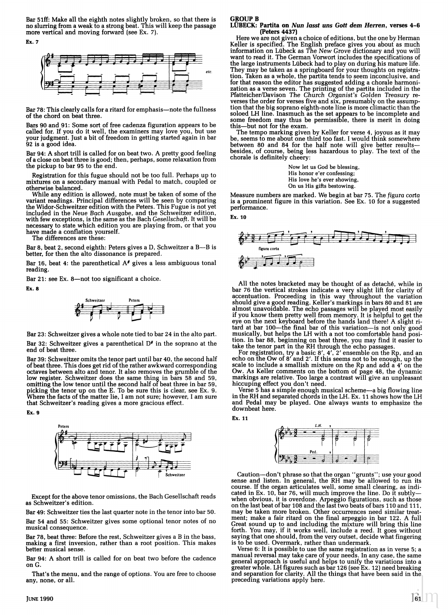Bar 51ff: Make all the eighth notes slightly broken, so that there is no slurring from a weak to a strong beat. This will keep the passage more vertical and moving forward (see Ex. 7). Ex. 7



Bar 78: This clearly calls for a ritard for emphasis-note the fullness of the chord on beat three.

Bars 90 and 91: Some sort of free cadenza figuration appears to be called for. If you do it well, the examiners may love you, but use<br>your judgment. Just a bit of freedom in getting started again in bar 92 is a good idea.

Bar 94: A short trill is called for on beat two. A pretty good feeling of a close on beat three is good; then, perhaps, some relaxation from the pickup to bar 95 to the end.

Registration for this fugue should not be too full. Perhaps up to mixtures on a secondary manual with Pedal to match, coupled or otherwise balanced.

While any edition is allowed, note must be taken of some of the variant readings. Principal differences will be seen by comparing<br>the Widor-Schweitzer edition with the Peters. This Fugue is not yet included in the Neue Bach Ausgabe, and the Schweitzer edition, with few exceptions, is the same as the Bach Gesellschaft. It will be necessary to state which edition you are playing from, or that you have made a conflation yourself.

The differences are these:

Bar 8, beat 2, second eighth: Peters gives a D, Schweitzer a B-B is better, for then the alto dissonance is prepared.

Bar 16, beat 4: the parenthetical  $A^*$  gives a less ambiguous tonal reading.

Bar 21: see Ex. 8-not too significant a choice.

Ex. 8



Bar 23: Schweitzer gives a whole note tied to bar 24 in the alto part. Bar 32: Schweitzer gives a parenthetical  $D^*$  in the soprano at the end of beat three.

Bar 39: Schweitzer omits the tenor part until bar 40, the second half of beat three. This does get rid of the rather awkward corresponding octaves between alto and tenor. It also removes the grumble of the low register. Schweitzer does the same thing in bars 58 and 59, omitting the low tenor until the second half of beat three in bar 59, picking the tenor up on the E. To be sure this is clear, see Ex. 9.<br>Where the facts of the matter lie, I am not sure; however, I am sure that Schweitzer's reading gives a more gracious effect.

Ex. 9



Except for the above tenor omissions, the Bach Gesellschaft reads as Schweitzer's edition.

Bar 49: Schweitzer ties the last quarter note in the tenor into bar 50. Bar 54 and 55: Schweitzer gives some optional tenor notes of no musical consequence.

Bar 78, beat three: Before the rest, Schweitzer gives a B in the bass, making a first inversion, rather than a root position. This makes better musical sense.

Bar 94: A short trill is called for on beat two before the cadence on G.

That's the menu, and the range of options. You are free to choose any, none, or all.

## **GROUP B**

#### LÜBECK: Partita on Nun lasst uns Gott dem Herren, verses 4-6 (Peters 4437)

Here we are not given a choice of editions, but the one by Herman Keller is specified. The English preface gives you about as much information on Lübeck as The New Grove dictionary and you will want to read it. The German Vorwort includes the specifications of the large instruments Lübeck had to play on during his mature life. They may be taken as a springboard for your thoughts on registration. Taken as a whole, the partita tends to seem inconclusive, and for that reason the editor has suggested adding a chorale harmonization as a verse seven. The printing of the partita included in the Platteicher/Davison The Church Organist's Golden Treasury re-<br>Platteicher/Davison The Church Organist's Golden Treasury re-<br>verses the order for verses five and six, presume of the assumption that the big soprano eighth-note line is more climatric than the soloed LH line. Inasmuch as the set appears to be incomplete and<br>some freedom may thus be permissible, there is merit in doing this-but not for the exam.

The tempo marking given by Keller for verse 4, joyous as it may be, seems to me about one third too fast. I would think somewhere between 80 and 84 for the half note will give better resultsbesides, of course, being less hazardous to play. The text of the chorale is definitely cheery:

> Now let us God be blessing, His honor e'er confessing; His love he's ever showing, On us His gifts bestowing.

Measure numbers are marked. We begin at bar 75. The figura corta is a prominent figure in this variation. See Ex. 10 for a suggested performance.

Ex. 10

Ex. 11



All the notes bracketed may be thought of as detaché, while in<br>bar 76 the vertical strokes indicate a very slight lift for clarity of accentuation. Proceeding in this way throughout the variation should give a good reading. Keller's markings in bars 80 and 81 are almost unavoidable. The echo passages will be played most easily if you know them pretty well from memory. It is helpful to get the eye on the next keyboard before the hands land there! A slight ri-<br>tard at bar 100—the final bar of this variation—is not only good musically, but helps the LH with a not too comfortable hand position. In bar 88, beginning on beat three, you may find it easier to take the tenor part in the RH through the echo passages

For registration, try a basic 8', 4', 2' ensemble on the Rp, and an echo on the Ow of 8' and 2'. If this seems not to be enough, up the scale to include a smallish mixture on the Rp and add a 4' on the Ow. As Keller comments on the bottom of page 48, the dynamic markings are relative. Too large a contrast will give an unpleasant<br>hiccuping effect you don't need.

Verse 5 has a simple enough musical scheme—a big flowing line in the RH and separated chords in the LH. Ex. 11 shows how the LH and Pedal may be played. One always wants to emphasize the downbeat here.



Caution—don't phrase so that the organ "grunts"; use your good<br>sense and listen. In general, the RH may be allowed to run its<br>course. If the organ articulates well, some small clearing, as indi-<br>cated in Ex. 10, bar 76, w may be taken more broken. Other occurrences need similar treatment; make a fair ritard on the final arpeggio in bar 122. A full Great sound up to and including the mixture will bring this line forth. You may, if it works well, include a reed. It goes without saying that one should, from the very outset, decide what fingering is to be used. Overmark, rather than undermark

Verse 6: It is possible to use the same registration as in verse 5; a manual reversal may take care of your needs. In any case, the same general approach is useful and helps to unify the variations into a greater whole. LH figures such as bar 126 (see Ex. 12) need breaking and separation for clarity. All the things that have been said in the preceding variations apply here.